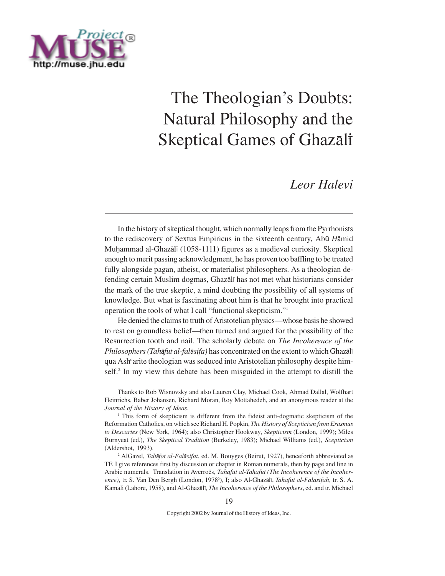

# The Theologian's Doubts: Natural Philosophy and the Skeptical Games of Ghazali

# *Leor Halevi*

In the history of skeptical thought, which normally leaps from the Pyrrhonists to the rediscovery of Sextus Empiricus in the sixteenth century, Abu Hamid Muhammad al-Ghazālī (1058-1111) figures as a medieval curiosity. Skeptical enough to merit passing acknowledgment, he has proven too baffling to be treated fully alongside pagan, atheist, or materialist philosophers. As a theologian defending certain Muslim dogmas, Ghazālī has not met what historians consider the mark of the true skeptic, a mind doubting the possibility of all systems of knowledge. But what is fascinating about him is that he brought into practical operation the tools of what I call "functional skepticism."1

He denied the claims to truth of Aristotelian physics—whose basis he showed to rest on groundless belief—then turned and argued for the possibility of the Resurrection tooth and nail. The scholarly debate on *The Incoherence of the Philosophers (Tahãfut al-falãsifa)* has concentrated on the extent to which Ghazali qua Ash<sup>c</sup>arite theologian was seduced into Aristotelian philosophy despite himself.<sup>2</sup> In my view this debate has been misguided in the attempt to distill the

Thanks to Rob Wisnovsky and also Lauren Clay, Michael Cook, Ahmad Dallal, Wolfhart Heinrichs, Baber Johansen, Richard Moran, Roy Mottahedeh, and an anonymous reader at the *Journal of the History of Ideas*.

<sup>1</sup> This form of skepticism is different from the fideist anti-dogmatic skepticism of the Reformation Catholics, on which see Richard H. Popkin, *The History of Scepticism from Erasmus to Descartes* (New York, 1964); also Christopher Hookway, *Skepticism* (London, 1999); Miles Burnyeat (ed.), *The Skeptical Tradition* (Berkeley, 1983); Michael Williams (ed.), *Scepticism* (Aldershot, 1993).

2 AlGazel, *Tahfot al-Falsifat*, ed. M. Bouyges (Beirut, 1927), henceforth abbreviated as TF. I give references first by discussion or chapter in Roman numerals, then by page and line in Arabic numerals. Translation in Averroës, *Tahafut al-Tahafut (The Incoherence of the Incoher*ence), tr. S. Van Den Bergh (London, 1978<sup>2</sup>), I; also Al-Ghazālī, *Tahafut al-Falasifah*, tr. S. A. Kamali (Lahore, 1958), and Al-Ghazālī, *The Incoherence of the Philosophers*, ed. and tr. Michael

Copyright 2002 by Journal of the History of Ideas, Inc.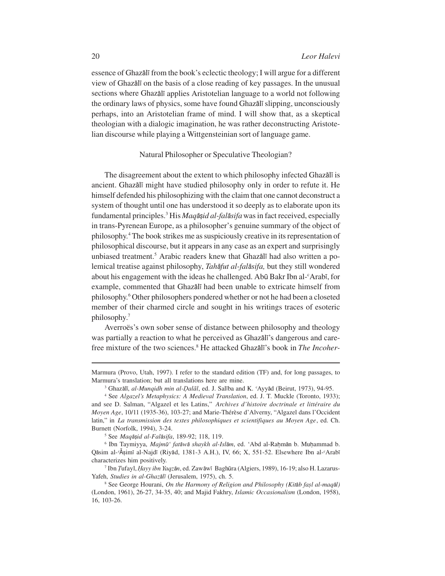essence of Ghazālī from the book's eclectic theology; I will argue for a different view of Ghazālī on the basis of a close reading of key passages. In the unusual sections where Ghazali applies Aristotelian language to a world not following the ordinary laws of physics, some have found Ghazali slipping, unconsciously perhaps, into an Aristotelian frame of mind. I will show that, as a skeptical theologian with a dialogic imagination, he was rather deconstructing Aristotelian discourse while playing a Wittgensteinian sort of language game.

### Natural Philosopher or Speculative Theologian?

The disagreement about the extent to which philosophy infected Ghazali is ancient. Ghazālī might have studied philosophy only in order to refute it. He himself defended his philosophizing with the claim that one cannot deconstruct a system of thought until one has understood it so deeply as to elaborate upon its fundamental principles.<sup>3</sup> His *Maq* a *id al-fal* a *ifa* was in fact received, especially in trans-Pyrenean Europe, as a philosopher's genuine summary of the object of philosophy.4 The book strikes me as suspiciously creative in its representation of philosophical discourse, but it appears in any case as an expert and surprisingly unbiased treatment.<sup>5</sup> Arabic readers knew that Ghazali had also written a polemical treatise against philosophy, *Tahfut al-falsifa,* but they still wondered about his engagement with the ideas he challenged. Abū Bakr Ibn al-'Arabī, for example, commented that Ghazali had been unable to extricate himself from philosophy.6 Other philosophers pondered whether or not he had been a closeted member of their charmed circle and sought in his writings traces of esoteric philosophy.7

Averroës's own sober sense of distance between philosophy and theology was partially a reaction to what he perceived as Ghazali's dangerous and carefree mixture of the two sciences.<sup>8</sup> He attacked Ghazali's book in *The Incoher-*

Marmura (Provo, Utah, 1997). I refer to the standard edition (TF) and, for long passages, to Marmura's translation; but all translations here are mine.

<sup>&</sup>lt;sup>3</sup> Ghazālī, al-Munqidh min al-*Dalāl*, ed. J. Salība and K. °Ayyād (Beirut, 1973), 94-95.

<sup>4</sup> See *Algazel's Metaphysics: A Medieval Translation*, ed. J. T. Muckle (Toronto, 1933); and see D. Salman, "Algazel et les Latins," *Archives d'histoire doctrinale et littéraire du Moyen Age*, 10/11 (1935-36), 103-27; and Marie-Thérèse d'Alverny, "Algazel dans l'Occident latin," in *La transmission des textes philosophiques et scientifiques au Moyen Age*, ed. Ch. Burnett (Norfolk, 1994), 3-24.

<sup>&</sup>lt;sup>5</sup> See *Maqā*șid al-Falāsifa, 189-92; 118, 119.

<sup>&</sup>lt;sup>6</sup> Ibn Taymiyya, *Majmūʻ fatāwā shaykh al-Islām*, ed. 'Abd al-Raḥmān b. Muḥammad b. Qāsim al-ʿĀṣimī al-Najdī (Riyād, 1381-3 A.H.), IV, 66; X, 551-52. Elsewhere Ibn al-ʿArabī characterizes him positively.

<sup>&</sup>lt;sup>7</sup> Ibn *Ț*ufayl, *Ḥayy ibn Yaqzān*, ed. Zawāwī Baghūra (Algiers, 1989), 16-19; also H. Lazarus-Yafeh, *Studies in al-Ghazālī* (Jerusalem, 1975), ch. 5.

<sup>8</sup> See George Hourani, *On the Harmony of Religion and Philosophy (Kitb fal al-maql)* (London, 1961), 26-27, 34-35, 40; and Majid Fakhry, *Islamic Occasionalism* (London, 1958), 16, 103-26.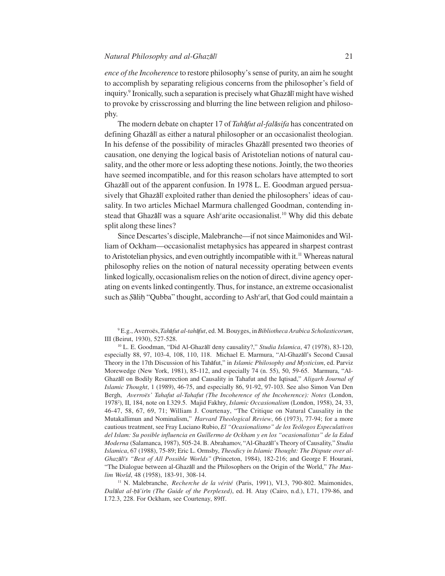*ence of the Incoherence* to restore philosophy's sense of purity, an aim he sought to accomplish by separating religious concerns from the philosopher's field of inquiry.<sup>9</sup> Ironically, such a separation is precisely what Ghazall might have wished to provoke by crisscrossing and blurring the line between religion and philosophy.

The modern debate on chapter 17 of *Tahfut al-falsifa* has concentrated on defining Ghazālī as either a natural philosopher or an occasionalist theologian. In his defense of the possibility of miracles Ghazali presented two theories of causation, one denying the logical basis of Aristotelian notions of natural causality, and the other more or less adopting these notions. Jointly, the two theories have seemed incompatible, and for this reason scholars have attempted to sort Ghazālī out of the apparent confusion. In 1978 L. E. Goodman argued persuasively that Ghazali exploited rather than denied the philosophers' ideas of causality. In two articles Michael Marmura challenged Goodman, contending instead that Ghazālī was a square Ash<sup>c</sup>arite occasionalist.<sup>10</sup> Why did this debate split along these lines?

Since Descartes's disciple, Malebranche—if not since Maimonides and William of Ockham—occasionalist metaphysics has appeared in sharpest contrast to Aristotelian physics, and even outrightly incompatible with it.<sup>11</sup> Whereas natural philosophy relies on the notion of natural necessity operating between events linked logically, occasionalism relies on the notion of direct, divine agency operating on events linked contingently. Thus, for instance, an extreme occasionalist such as Salih "Qubba" thought, according to Ash°arī, that God could maintain a

9 E.g., Averroës, *Tahfut al-tahfut*, ed. M. Bouyges, in *Bibliotheca Arabica Scholasticorum*, III (Beirut, 1930), 527-528.

<sup>10</sup> L. E. Goodman, "Did Al-Ghazālī deny causality?," *Studia Islamica*, 47 (1978), 83-120, especially 88, 97, 103-4, 108, 110, 118. Michael E. Marmura, "Al-Ghazālī's Second Causal Theory in the 17th Discussion of his Tahāfut," in *Islamic Philosophy and Mysticism*, ed. Parviz Morewedge (New York, 1981), 85-112, and especially 74 (n. 55), 50, 59-65. Marmura, "Al-Ghazali on Bodily Resurrection and Causality in Tahafut and the Iqtisad," Aligarh Journal of *Islamic Thought*, 1 (1989), 46-75, and especially 86, 91-92, 97-103. See also Simon Van Den Bergh, *Averroës' Tahafut al-Tahafut (The Incoherence of the Incoherence): Notes* (London, 19782 ), II, 184, note on I.329.5. Majid Fakhry, *Islamic Occasionalism* (London, 1958), 24, 33, 46-47, 58, 67, 69, 71; William J. Courtenay, "The Critique on Natural Causality in the Mutakallimun and Nominalism," *Harvard Theological Review*, 66 (1973), 77-94; for a more cautious treatment, see Fray Luciano Rubio, *El "Ocasionalismo" de los Teólogos Especulativos del Islam: Su posible influencia en Guillermo de Ockham y en los "ocasionalistas" de la Edad* Moderna (Salamanca, 1987), 505-24. B. Abrahamov, "Al-Ghazālī's Theory of Causality," Studia *Islamica*, 67 (1988), 75-89; Eric L. Ormsby, *Theodicy in Islamic Thought: The Dispute over al-Ghazls "Best of All Possible Worlds"* (Princeton, 1984), 182-216; and George F. Hourani, "The Dialogue between al-Ghazalī and the Philosophers on the Origin of the World," The Mus*lim World*, 48 (1958), 183-91, 308-14.

<sup>11</sup> N. Malebranche, *Recherche de la vérité* (Paris, 1991), VI.3, 790-802. Maimonides, *Dallat al-*-*'irn (The Guide of the Perplexed)*, ed. H. Atay (Cairo, n.d.), I.71, 179-86, and I.72.3, 228. For Ockham, see Courtenay, 89ff.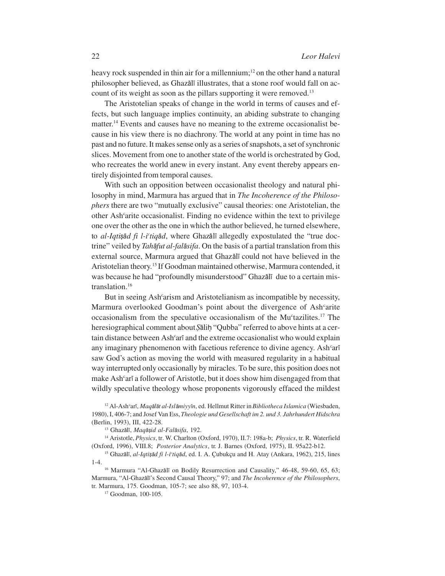heavy rock suspended in thin air for a millennium;<sup>12</sup> on the other hand a natural philosopher believed, as Ghazālī illustrates, that a stone roof would fall on account of its weight as soon as the pillars supporting it were removed.<sup>13</sup>

The Aristotelian speaks of change in the world in terms of causes and effects, but such language implies continuity, an abiding substrate to changing matter.<sup>14</sup> Events and causes have no meaning to the extreme occasionalist because in his view there is no diachrony. The world at any point in time has no past and no future. It makes sense only as a series of snapshots, a set of synchronic slices. Movement from one to another state of the world is orchestrated by God, who recreates the world anew in every instant. Any event thereby appears entirely disjointed from temporal causes.

With such an opposition between occasionalist theology and natural philosophy in mind, Marmura has argued that in *The Incoherence of the Philosophers* there are two "mutually exclusive" causal theories: one Aristotelian, the other Ash<sup>c</sup>arite occasionalist. Finding no evidence within the text to privilege one over the other as the one in which the author believed, he turned elsewhere, to al-Iqtișăd fi l-i<sup>c</sup>tiqãd, where Ghazālī allegedly expostulated the "true doctrine" veiled by *Tahfut al-falsifa*. On the basis of a partial translation from this external source, Marmura argued that Ghazali could not have believed in the Aristotelian theory.15 If Goodman maintained otherwise, Marmura contended, it was because he had "profoundly misunderstood" Ghazali due to a certain mistranslation.<sup>16</sup>

But in seeing Ash°arism and Aristotelianism as incompatible by necessity, Marmura overlooked Goodman's point about the divergence of Ashcarite occasionalism from the speculative occasionalism of the Mu<sup>c</sup>tazilites.<sup>17</sup> The heresiographical comment about Salih "Qubba" referred to above hints at a certain distance between Ash<sup>c</sup>arī and the extreme occasionalist who would explain any imaginary phenomenon with facetious reference to divine agency. Ash<sup>c</sup>ari saw God's action as moving the world with measured regularity in a habitual way interrupted only occasionally by miracles. To be sure, this position does not make Ash<sup>c</sup>arī a follower of Aristotle, but it does show him disengaged from that wildly speculative theology whose proponents vigorously effaced the mildest

<sup>12</sup> Al-Ash<sup>c</sup>arī, *Maqālāt al-Islāmiyyīn*, ed. Hellmut Ritter in *Bibliotheca Islamica* (Wiesbaden, 1980), I, 406-7; and Josef Van Ess, *Theologie und Gesellschaft im 2. und 3. Jahrhundert Hidschra* (Berlin, 1993), III, 422-28.

<sup>13</sup> Ghazālī, Maqāșid al-Falāsifa, 192.

14 Aristotle, *Physics*, tr. W. Charlton (Oxford, 1970), II.7: 198a-b; *Physics*, tr. R. Waterfield (Oxford, 1996), VIII.8; *Posterior Analytics*, tr. J. Barnes (Oxford, 1975), II. 95a22-b12.

<sup>15</sup> Ghazālī, al-Iqtișād fi l-i<sup>c</sup>tiqād, ed. I. A. Çubukçu and H. Atay (Ankara, 1962), 215, lines 1-4.

<sup>16</sup> Marmura "Al-Ghazālī on Bodily Resurrection and Causality," 46-48, 59-60, 65, 63; Marmura, "Al-Ghazālī's Second Causal Theory," 97; and *The Incoherence of the Philosophers*, tr. Marmura, 175. Goodman, 105-7; see also 88, 97, 103-4.

17 Goodman, 100-105.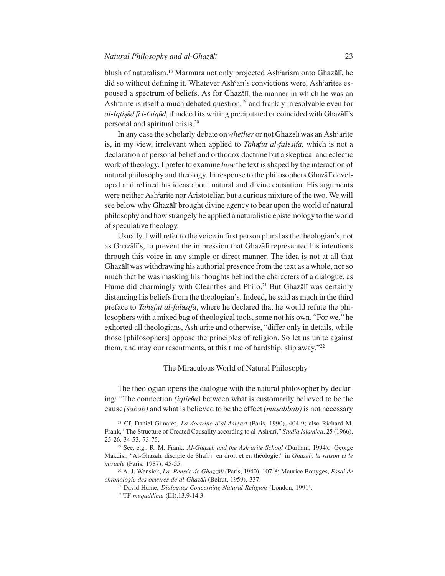blush of naturalism.<sup>18</sup> Marmura not only projected Ash°arism onto Ghazālī, he did so without defining it. Whatever Ash°arī's convictions were, Ash°arites espoused a spectrum of beliefs. As for Ghazali, the manner in which he was an Ash<sup>c</sup>arite is itself a much debated question,<sup>19</sup> and frankly irresolvable even for al-Iqtișād fi l-i<sup>c</sup>tiqād, if indeed its writing precipitated or coincided with Ghazālī's personal and spiritual crisis.20

In any case the scholarly debate on *whether* or not Ghazali was an Ash°arite is, in my view, irrelevant when applied to *Tahfut al-falsifa,* which is not a declaration of personal belief and orthodox doctrine but a skeptical and eclectic work of theology. I prefer to examine *how* the text is shaped by the interaction of natural philosophy and theology. In response to the philosophers Ghazālī developed and refined his ideas about natural and divine causation. His arguments were neither Ash<sup>c</sup>arite nor Aristotelian but a curious mixture of the two. We will see below why Ghazālī brought divine agency to bear upon the world of natural philosophy and how strangely he applied a naturalistic epistemology to the world of speculative theology.

Usually, I will refer to the voice in first person plural as the theologian's, not as Ghazālī's, to prevent the impression that Ghazālī represented his intentions through this voice in any simple or direct manner. The idea is not at all that Ghazālī was withdrawing his authorial presence from the text as a whole, nor so much that he was masking his thoughts behind the characters of a dialogue, as Hume did charmingly with Cleanthes and Philo.<sup>21</sup> But Ghazālī was certainly distancing his beliefs from the theologian's. Indeed, he said as much in the third preface to *Tahfut al-falsifa*, where he declared that he would refute the philosophers with a mixed bag of theological tools, some not his own. "For we," he exhorted all theologians, Ash<sup>c</sup>arite and otherwise, "differ only in details, while those [philosophers] oppose the principles of religion. So let us unite against them, and may our resentments, at this time of hardship, slip away."22

### The Miraculous World of Natural Philosophy

The theologian opens the dialogue with the natural philosopher by declaring: "The connection *(iqtirn)* between what is customarily believed to be the cause *(sabab)* and what is believed to be the effect *(musabbab)* is not necessary

<sup>&</sup>lt;sup>18</sup> Cf. Daniel Gimaret, *La doctrine d'al-Ash<sup>c</sup>arī* (Paris, 1990), 404-9; also Richard M. Frank, "The Structure of Created Causality according to al-Ash<sup>c</sup>ari," *Studia Islamica*, 25 (1966), 25-26, 34-53, 73-75.

<sup>&</sup>lt;sup>19</sup> See, e.g., R. M. Frank, Al-Ghazālī and the Ash<sup>c</sup>arite School (Durham, 1994); George Makdisi, "Al-Ghazālī, disciple de Shāfi<sup>c</sup>ī en droit et en théologie," in *Ghazālī, la raison et le miracle* (Paris, 1987), 45-55.

<sup>20</sup> A. J. Wensick, *La Pensée de Ghazzl* (Paris, 1940), 107-8; Maurice Bouyges, *Essai de chronologie des oeuvres de al-Ghazl* (Beirut, 1959), 337.

<sup>21</sup> David Hume, *Dialogues Concerning Natural Religion* (London, 1991).

<sup>22</sup> TF *muqaddima* (III).13.9-14.3.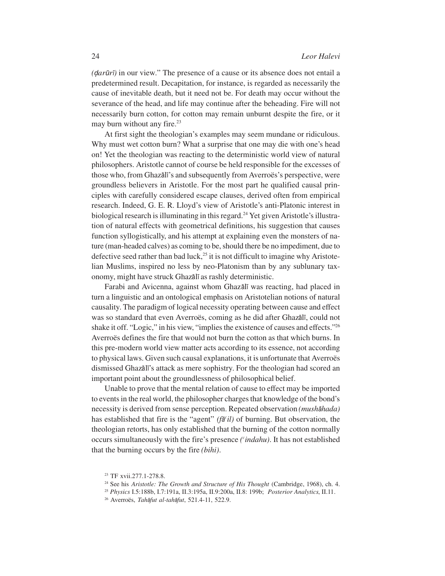*(arr)* in our view." The presence of a cause or its absence does not entail a predetermined result. Decapitation, for instance, is regarded as necessarily the cause of inevitable death, but it need not be. For death may occur without the severance of the head, and life may continue after the beheading. Fire will not necessarily burn cotton, for cotton may remain unburnt despite the fire, or it may burn without any fire.<sup>23</sup>

At first sight the theologian's examples may seem mundane or ridiculous. Why must wet cotton burn? What a surprise that one may die with one's head on! Yet the theologian was reacting to the deterministic world view of natural philosophers. Aristotle cannot of course be held responsible for the excesses of those who, from Ghazālī's and subsequently from Averroës's perspective, were groundless believers in Aristotle. For the most part he qualified causal principles with carefully considered escape clauses, derived often from empirical research. Indeed, G. E. R. Lloyd's view of Aristotle's anti-Platonic interest in biological research is illuminating in this regard.<sup>24</sup> Yet given Aristotle's illustration of natural effects with geometrical definitions, his suggestion that causes function syllogistically, and his attempt at explaining even the monsters of nature (man-headed calves) as coming to be, should there be no impediment, due to defective seed rather than bad luck,<sup>25</sup> it is not difficult to imagine why Aristotelian Muslims, inspired no less by neo-Platonism than by any sublunary taxonomy, might have struck Ghazālī as rashly deterministic.

Farabi and Avicenna, against whom Ghazālī was reacting, had placed in turn a linguistic and an ontological emphasis on Aristotelian notions of natural causality. The paradigm of logical necessity operating between cause and effect was so standard that even Averroës, coming as he did after Ghazālī, could not shake it off. "Logic," in his view, "implies the existence of causes and effects."26 Averroës defines the fire that would not burn the cotton as that which burns. In this pre-modern world view matter acts according to its essence, not according to physical laws. Given such causal explanations, it is unfortunate that Averroës dismissed Ghazālī's attack as mere sophistry. For the theologian had scored an important point about the groundlessness of philosophical belief.

Unable to prove that the mental relation of cause to effect may be imported to events in the real world, the philosopher charges that knowledge of the bond's necessity is derived from sense perception. Repeated observation *(mushhada)* has established that fire is the "agent" (*f* $\tilde{a}$ <sup>*cil*</sup>) of burning. But observation, the theologian retorts, has only established that the burning of the cotton normally occurs simultaneously with the fire's presence *( c indahu)*. It has not established that the burning occurs by the fire *(bihi)*.

<sup>23</sup> TF xvii.277.1-278.8.

<sup>&</sup>lt;sup>24</sup> See his *Aristotle: The Growth and Structure of His Thought* (Cambridge, 1968), ch. 4.

<sup>25</sup> *Physics* I.5:188b, I.7:191a, II.3:195a, II.9:200a, II.8: 199b; *Posterior Analytics*, II.11.

<sup>26</sup> Averroës, *Tahfut al-tahfut*, 521.4-11, 522.9.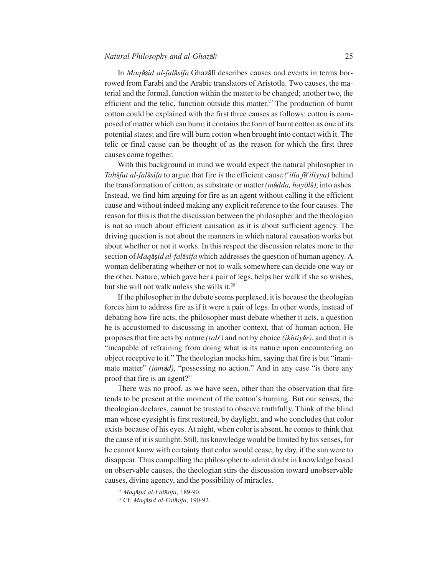### *Natural Philosophy and al-Ghazl* 25

In *Maq*asid al-falasifa Ghazali describes causes and events in terms borrowed from Farabi and the Arabic translators of Aristotle. Two causes, the material and the formal, function within the matter to be changed; another two, the efficient and the telic, function outside this matter.<sup>27</sup> The production of burnt cotton could be explained with the first three causes as follows: cotton is composed of matter which can burn; it contains the form of burnt cotton as one of its potential states; and fire will burn cotton when brought into contact with it. The telic or final cause can be thought of as the reason for which the first three causes come together.

With this background in mind we would expect the natural philosopher in *Tahfut al-falsifa* to argue that fire is the efficient cause *( c illa f<sup>c</sup> iliyya)* behind the transformation of cotton, as substrate or matter *(mdda, hayl)*, into ashes. Instead, we find him arguing for fire as an agent without calling it the efficient cause and without indeed making any explicit reference to the four causes. The reason for this is that the discussion between the philosopher and the theologian is not so much about efficient causation as it is about sufficient agency. The driving question is not about the manners in which natural causation works but about whether or not it works. In this respect the discussion relates more to the section of *Maq*a*sid al-falasifa* which addresses the question of human agency. A woman deliberating whether or not to walk somewhere can decide one way or the other. Nature, which gave her a pair of legs, helps her walk if she so wishes, but she will not walk unless she wills it.28

If the philosopher in the debate seems perplexed, it is because the theologian forces him to address fire as if it were a pair of legs. In other words, instead of debating how fire acts, the philosopher must debate whether it acts, a question he is accustomed to discussing in another context, that of human action. He proposes that fire acts by nature *(abc )* and not by choice *(ikhtiyr)*, and that it is "incapable of refraining from doing what is its nature upon encountering an object receptive to it." The theologian mocks him, saying that fire is but "inanimate matter" *(jam* $\bar{a}d$ *)*, "possessing no action." And in any case "is there any proof that fire is an agent?"

There was no proof, as we have seen, other than the observation that fire tends to be present at the moment of the cotton's burning. But our senses, the theologian declares, cannot be trusted to observe truthfully. Think of the blind man whose eyesight is first restored, by daylight, and who concludes that color exists because of his eyes. At night, when color is absent, he comes to think that the cause of it is sunlight. Still, his knowledge would be limited by his senses, for he cannot know with certainty that color would cease, by day, if the sun were to disappear. Thus compelling the philosopher to admit doubt in knowledge based on observable causes, the theologian stirs the discussion toward unobservable causes, divine agency, and the possibility of miracles.

<sup>&</sup>lt;sup>27</sup> Maqāṣid al-Falāsifa, 189-90.

<sup>&</sup>lt;sup>28</sup> Cf. *Maqā*șid al-Falāsifa, 190-92.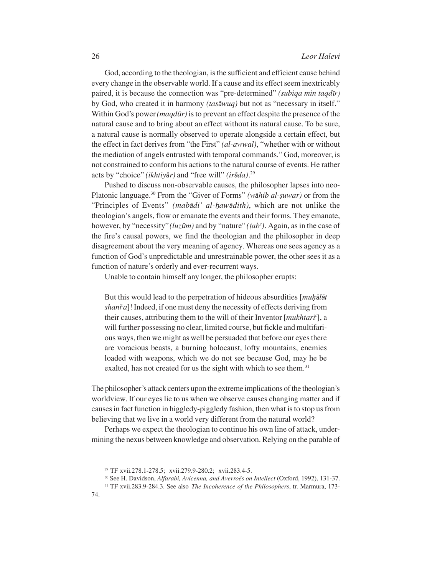God, according to the theologian, is the sufficient and efficient cause behind every change in the observable world. If a cause and its effect seem inextricably paired, it is because the connection was "pre-determined" *(subiqa min taqdr)* by God, who created it in harmony *(taswuq)* but not as "necessary in itself." Within God's power *(maqdr)* is to prevent an effect despite the presence of the natural cause and to bring about an effect without its natural cause. To be sure, a natural cause is normally observed to operate alongside a certain effect, but the effect in fact derives from "the First" *(al-awwal)*, "whether with or without the mediation of angels entrusted with temporal commands." God, moreover, is not constrained to conform his actions to the natural course of events. He rather acts by "choice" *(ikhtiyr)* and "free will" *(irda)*. 29

Pushed to discuss non-observable causes, the philosopher lapses into neo-Platonic language.30 From the "Giver of Forms" *(whib al-uwar)* or from the "Principles of Events" *(mabādi' al-hawādith)*, which are not unlike the theologian's angels, flow or emanate the events and their forms. They emanate, however, by "necessity" *(luzūm)* and by "nature" *(tab<sup>c</sup>)*. Again, as in the case of the fire's causal powers, we find the theologian and the philosopher in deep disagreement about the very meaning of agency. Whereas one sees agency as a function of God's unpredictable and unrestrainable power, the other sees it as a function of nature's orderly and ever-recurrent ways.

Unable to contain himself any longer, the philosopher erupts:

But this would lead to the perpetration of hideous absurdities [*mult* shan<sup>r</sup>a]! Indeed, if one must deny the necessity of effects deriving from their causes, attributing them to the will of their Inventor [*mukhtaric* ], a will further possessing no clear, limited course, but fickle and multifarious ways, then we might as well be persuaded that before our eyes there are voracious beasts, a burning holocaust, lofty mountains, enemies loaded with weapons, which we do not see because God, may he be exalted, has not created for us the sight with which to see them.<sup>31</sup>

The philosopher's attack centers upon the extreme implications of the theologian's worldview. If our eyes lie to us when we observe causes changing matter and if causes in fact function in higgledy-piggledy fashion, then what is to stop us from believing that we live in a world very different from the natural world?

Perhaps we expect the theologian to continue his own line of attack, undermining the nexus between knowledge and observation. Relying on the parable of

<sup>29</sup> TF xvii.278.1-278.5; xvii.279.9-280.2; xvii.283.4-5.

<sup>30</sup> See H. Davidson, *Alfarabi, Avicenna, and Averroës on Intellect* (Oxford, 1992), 131-37.

<sup>31</sup> TF xvii.283.9-284.3. See also *The Incoherence of the Philosophers*, tr. Marmura, 173-

<sup>74.</sup>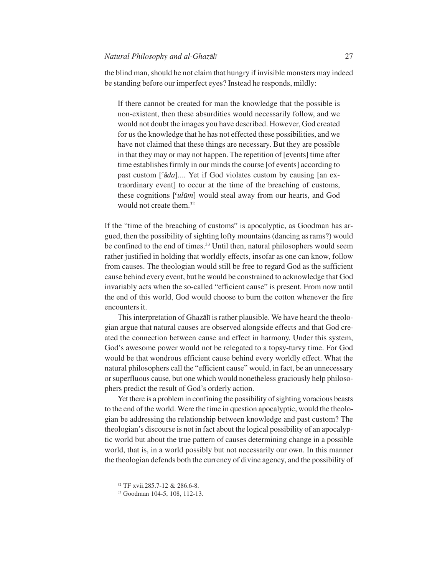the blind man, should he not claim that hungry if invisible monsters may indeed be standing before our imperfect eyes? Instead he responds, mildly:

If there cannot be created for man the knowledge that the possible is non-existent, then these absurdities would necessarily follow, and we would not doubt the images you have described. However, God created for us the knowledge that he has not effected these possibilities, and we have not claimed that these things are necessary. But they are possible in that they may or may not happen. The repetition of [events] time after time establishes firmly in our minds the course [of events] according to past custom [cada].... Yet if God violates custom by causing [an extraordinary event] to occur at the time of the breaching of customs, these cognitions [*<sup>c</sup> ulm*] would steal away from our hearts, and God would not create them.<sup>32</sup>

If the "time of the breaching of customs" is apocalyptic, as Goodman has argued, then the possibility of sighting lofty mountains (dancing as rams?) would be confined to the end of times.<sup>33</sup> Until then, natural philosophers would seem rather justified in holding that worldly effects, insofar as one can know, follow from causes. The theologian would still be free to regard God as the sufficient cause behind every event, but he would be constrained to acknowledge that God invariably acts when the so-called "efficient cause" is present. From now until the end of this world, God would choose to burn the cotton whenever the fire encounters it.

This interpretation of Ghazali is rather plausible. We have heard the theologian argue that natural causes are observed alongside effects and that God created the connection between cause and effect in harmony. Under this system, God's awesome power would not be relegated to a topsy-turvy time. For God would be that wondrous efficient cause behind every worldly effect. What the natural philosophers call the "efficient cause" would, in fact, be an unnecessary or superfluous cause, but one which would nonetheless graciously help philosophers predict the result of God's orderly action.

Yet there is a problem in confining the possibility of sighting voracious beasts to the end of the world. Were the time in question apocalyptic, would the theologian be addressing the relationship between knowledge and past custom? The theologian's discourse is not in fact about the logical possibility of an apocalyptic world but about the true pattern of causes determining change in a possible world, that is, in a world possibly but not necessarily our own. In this manner the theologian defends both the currency of divine agency, and the possibility of

<sup>32</sup> TF xvii.285.7-12 & 286.6-8.

<sup>33</sup> Goodman 104-5, 108, 112-13.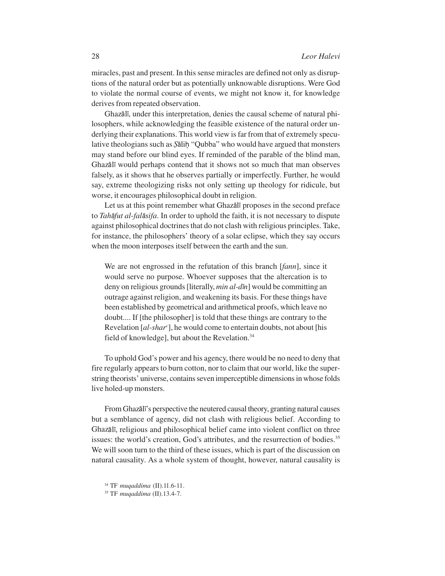miracles, past and present. In this sense miracles are defined not only as disruptions of the natural order but as potentially unknowable disruptions. Were God to violate the normal course of events, we might not know it, for knowledge derives from repeated observation.

Ghazālī, under this interpretation, denies the causal scheme of natural philosophers, while acknowledging the feasible existence of the natural order underlying their explanations. This world view is far from that of extremely speculative theologians such as Salih "Qubba" who would have argued that monsters may stand before our blind eyes. If reminded of the parable of the blind man, Ghazālī would perhaps contend that it shows not so much that man observes falsely, as it shows that he observes partially or imperfectly. Further, he would say, extreme theologizing risks not only setting up theology for ridicule, but worse, it encourages philosophical doubt in religion.

Let us at this point remember what Ghazali proposes in the second preface to *Tahfut al-falsifa*. In order to uphold the faith, it is not necessary to dispute against philosophical doctrines that do not clash with religious principles. Take, for instance, the philosophers' theory of a solar eclipse, which they say occurs when the moon interposes itself between the earth and the sun.

We are not engrossed in the refutation of this branch [*fann*], since it would serve no purpose. Whoever supposes that the altercation is to deny on religious grounds [literally, *min al-dn*] would be committing an outrage against religion, and weakening its basis. For these things have been established by geometrical and arithmetical proofs, which leave no doubt.... If [the philosopher] is told that these things are contrary to the Revelation [al-shar<sup>c</sup>], he would come to entertain doubts, not about [his field of knowledge], but about the Revelation.34

To uphold God's power and his agency, there would be no need to deny that fire regularly appears to burn cotton, nor to claim that our world, like the superstring theorists' universe, contains seven imperceptible dimensions in whose folds live holed-up monsters.

From Ghazālī's perspective the neutered causal theory, granting natural causes but a semblance of agency, did not clash with religious belief. According to Ghazālī, religious and philosophical belief came into violent conflict on three issues: the world's creation, God's attributes, and the resurrection of bodies.<sup>35</sup> We will soon turn to the third of these issues, which is part of the discussion on natural causality. As a whole system of thought, however, natural causality is

<sup>34</sup> TF *muqaddima* (II).11.6-11.

<sup>35</sup> TF *muqaddima* (II).13.4-7.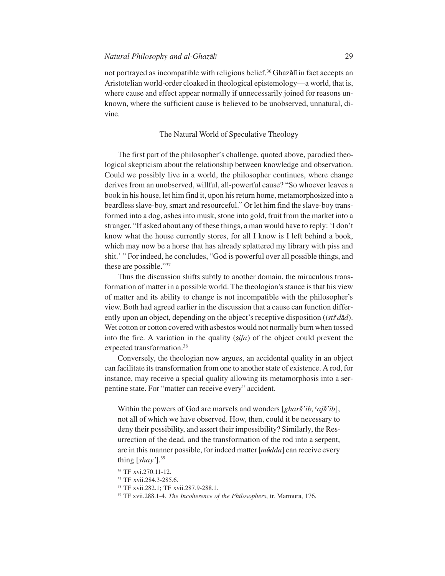not portrayed as incompatible with religious belief.<sup>36</sup> Ghazālī in fact accepts an Aristotelian world-order cloaked in theological epistemology—a world, that is, where cause and effect appear normally if unnecessarily joined for reasons unknown, where the sufficient cause is believed to be unobserved, unnatural, divine.

#### The Natural World of Speculative Theology

The first part of the philosopher's challenge, quoted above, parodied theological skepticism about the relationship between knowledge and observation. Could we possibly live in a world, the philosopher continues, where change derives from an unobserved, willful, all-powerful cause? "So whoever leaves a book in his house, let him find it, upon his return home, metamorphosized into a beardless slave-boy, smart and resourceful." Or let him find the slave-boy transformed into a dog, ashes into musk, stone into gold, fruit from the market into a stranger. "If asked about any of these things, a man would have to reply: 'I don't know what the house currently stores, for all I know is I left behind a book, which may now be a horse that has already splattered my library with piss and shit.' " For indeed, he concludes, "God is powerful over all possible things, and these are possible."37

Thus the discussion shifts subtly to another domain, the miraculous transformation of matter in a possible world. The theologian's stance is that his view of matter and its ability to change is not incompatible with the philosopher's view. Both had agreed earlier in the discussion that a cause can function differently upon an object, depending on the object's receptive disposition (*isti<sup>c</sup>dad*). Wet cotton or cotton covered with asbestos would not normally burn when tossed into the fire. A variation in the quality  $(sifa)$  of the object could prevent the expected transformation.38

Conversely, the theologian now argues, an accidental quality in an object can facilitate its transformation from one to another state of existence. A rod, for instance, may receive a special quality allowing its metamorphosis into a serpentine state. For "matter can receive every" accident.

Within the powers of God are marvels and wonders [ghara<sup>'</sup>ib, 'aja'ib], not all of which we have observed. How, then, could it be necessary to deny their possibility, and assert their impossibility? Similarly, the Resurrection of the dead, and the transformation of the rod into a serpent, are in this manner possible, for indeed matter [*mdda*] can receive every thing  $[shay']^{39}$ .

<sup>36</sup> TF xvi.270.11-12.

<sup>37</sup> TF xvii.284.3-285.6.

<sup>38</sup> TF xvii.282.1; TF xvii.287.9-288.1.

<sup>39</sup> TF xvii.288.1-4. *The Incoherence of the Philosophers*, tr. Marmura, 176.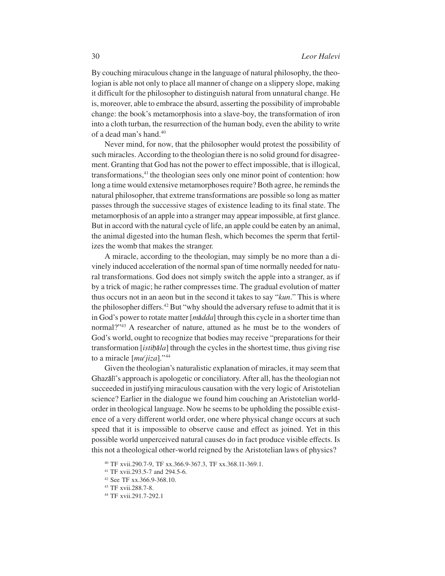By couching miraculous change in the language of natural philosophy, the theologian is able not only to place all manner of change on a slippery slope, making it difficult for the philosopher to distinguish natural from unnatural change. He is, moreover, able to embrace the absurd, asserting the possibility of improbable change: the book's metamorphosis into a slave-boy, the transformation of iron into a cloth turban, the resurrection of the human body, even the ability to write of a dead man's hand.40

Never mind, for now, that the philosopher would protest the possibility of such miracles. According to the theologian there is no solid ground for disagreement. Granting that God has not the power to effect impossible, that is illogical, transformations,<sup>41</sup> the theologian sees only one minor point of contention: how long a time would extensive metamorphoses require? Both agree, he reminds the natural philosopher, that extreme transformations are possible so long as matter passes through the successive stages of existence leading to its final state. The metamorphosis of an apple into a stranger may appear impossible, at first glance. But in accord with the natural cycle of life, an apple could be eaten by an animal, the animal digested into the human flesh, which becomes the sperm that fertilizes the womb that makes the stranger.

A miracle, according to the theologian, may simply be no more than a divinely induced acceleration of the normal span of time normally needed for natural transformations. God does not simply switch the apple into a stranger, as if by a trick of magic; he rather compresses time. The gradual evolution of matter thus occurs not in an aeon but in the second it takes to say "*kun*." This is where the philosopher differs.<sup>42</sup> But "why should the adversary refuse to admit that it is in God's power to rotate matter [*mdda*] through this cycle in a shorter time than normal?"<sup>43</sup> A researcher of nature, attuned as he must be to the wonders of God's world, ought to recognize that bodies may receive "preparations for their transformation [*istihala*] through the cycles in the shortest time, thus giving rise to a miracle [*muc jiza*]."44

Given the theologian's naturalistic explanation of miracles, it may seem that Ghazālī's approach is apologetic or conciliatory. After all, has the theologian not succeeded in justifying miraculous causation with the very logic of Aristotelian science? Earlier in the dialogue we found him couching an Aristotelian worldorder in theological language. Now he seems to be upholding the possible existence of a very different world order, one where physical change occurs at such speed that it is impossible to observe cause and effect as joined. Yet in this possible world unperceived natural causes do in fact produce visible effects. Is this not a theological other-world reigned by the Aristotelian laws of physics?

<sup>40</sup> TF xvii.290.7-9, TF xx.366.9-367.3, TF xx.368.11-369.1.

<sup>41</sup> TF xvii.293.5-7 and 294.5-6.

<sup>42</sup> See TF xx.366.9-368.10.

<sup>43</sup> TF xvii.288.7-8.

<sup>44</sup> TF xvii.291.7-292.1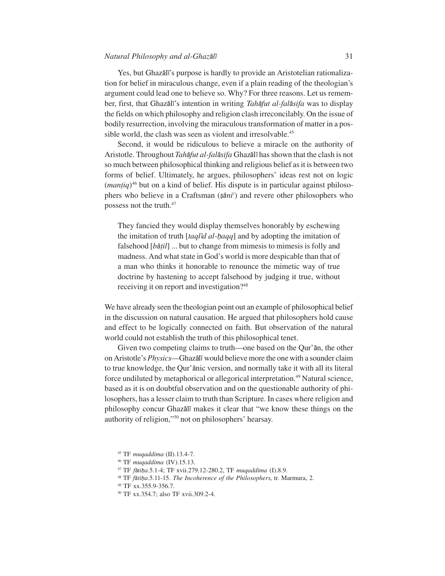Yes, but Ghazālī's purpose is hardly to provide an Aristotelian rationalization for belief in miraculous change, even if a plain reading of the theologian's argument could lead one to believe so. Why? For three reasons. Let us remember, first, that Ghazali's intention in writing *Tahafut al-falasifa* was to display the fields on which philosophy and religion clash irreconcilably. On the issue of bodily resurrection, involving the miraculous transformation of matter in a possible world, the clash was seen as violent and irresolvable.<sup>45</sup>

Second, it would be ridiculous to believe a miracle on the authority of Aristotle. Throughout *Tahāfut al-falāsifa* Ghazālī has shown that the clash is not so much between philosophical thinking and religious belief as it is between two forms of belief. Ultimately, he argues, philosophers' ideas rest not on logic  $(mantiq)$ <sup>46</sup> but on a kind of belief. His dispute is in particular against philosophers who believe in a Craftsman (sāni<sup>c</sup>) and revere other philosophers who possess not the truth.<sup>47</sup>

They fancied they would display themselves honorably by eschewing the imitation of truth [taql*id al-haqq*] and by adopting the imitation of falsehood [*b* $\tilde{a}$ *til*] ... but to change from mimesis to mimesis is folly and madness. And what state in God's world is more despicable than that of a man who thinks it honorable to renounce the mimetic way of true doctrine by hastening to accept falsehood by judging it true, without receiving it on report and investigation?<sup>48</sup>

We have already seen the theologian point out an example of philosophical belief in the discussion on natural causation. He argued that philosophers hold cause and effect to be logically connected on faith. But observation of the natural world could not establish the truth of this philosophical tenet.

Given two competing claims to truth—one based on the Qur'an, the other on Aristotle's *Physics*—Ghazali would believe more the one with a sounder claim to true knowledge, the Qur'ānic version, and normally take it with all its literal force undiluted by metaphorical or allegorical interpretation.<sup>49</sup> Natural science, based as it is on doubtful observation and on the questionable authority of philosophers, has a lesser claim to truth than Scripture. In cases where religion and philosophy concur Ghazali makes it clear that "we know these things on the authority of religion,"50 not on philosophers' hearsay.

<sup>45</sup> TF *muqaddima* (II).13.4-7.

<sup>46</sup> TF *muqaddima* (IV).15.13.

<sup>47</sup> TF *fti*-*a*.5.1-4; TF xvii.279.12-280.2, TF *muqaddima* (I).8.9.

<sup>48</sup> TF *fti*-*a*.5.11-15. *The Incoherence of the Philosophers*, tr. Marmura, 2.

<sup>49</sup> TF xx.355.9-356.7.

<sup>50</sup> TF xx.354.7; also TF xvii.309.2-4.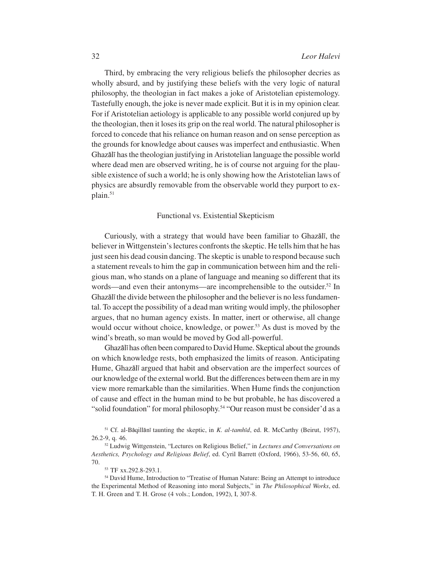Third, by embracing the very religious beliefs the philosopher decries as wholly absurd, and by justifying these beliefs with the very logic of natural philosophy, the theologian in fact makes a joke of Aristotelian epistemology. Tastefully enough, the joke is never made explicit. But it is in my opinion clear. For if Aristotelian aetiology is applicable to any possible world conjured up by the theologian, then it loses its grip on the real world. The natural philosopher is forced to concede that his reliance on human reason and on sense perception as the grounds for knowledge about causes was imperfect and enthusiastic. When Ghazālī has the theologian justifying in Aristotelian language the possible world where dead men are observed writing, he is of course not arguing for the plausible existence of such a world; he is only showing how the Aristotelian laws of physics are absurdly removable from the observable world they purport to explain.<sup>51</sup>

### Functional vs. Existential Skepticism

Curiously, with a strategy that would have been familiar to Ghazali, the believer in Wittgenstein's lectures confronts the skeptic. He tells him that he has just seen his dead cousin dancing. The skeptic is unable to respond because such a statement reveals to him the gap in communication between him and the religious man, who stands on a plane of language and meaning so different that its words—and even their antonyms—are incomprehensible to the outsider.<sup>52</sup> In Ghazālī the divide between the philosopher and the believer is no less fundamental. To accept the possibility of a dead man writing would imply, the philosopher argues, that no human agency exists. In matter, inert or otherwise, all change would occur without choice, knowledge, or power.<sup>53</sup> As dust is moved by the wind's breath, so man would be moved by God all-powerful.

Ghazālī has often been compared to David Hume. Skeptical about the grounds on which knowledge rests, both emphasized the limits of reason. Anticipating Hume, Ghazālī argued that habit and observation are the imperfect sources of our knowledge of the external world. But the differences between them are in my view more remarkable than the similarities. When Hume finds the conjunction of cause and effect in the human mind to be but probable, he has discovered a "solid foundation" for moral philosophy.<sup>54</sup> "Our reason must be consider'd as a

53 TF xx.292.8-293.1.

54 David Hume, Introduction to "Treatise of Human Nature: Being an Attempt to introduce the Experimental Method of Reasoning into moral Subjects," in *The Philosophical Works*, ed. T. H. Green and T. H. Grose (4 vols.; London, 1992), I, 307-8.

<sup>&</sup>lt;sup>51</sup> Cf. al-Bāqillānī taunting the skeptic, in *K. al-tamhīd*, ed. R. McCarthy (Beirut, 1957), 26.2-9, q. 46.

<sup>52</sup> Ludwig Wittgenstein, "Lectures on Religious Belief," in *Lectures and Conversations on Aesthetics, Psychology and Religious Belief*, ed. Cyril Barrett (Oxford, 1966), 53-56, 60, 65, 70.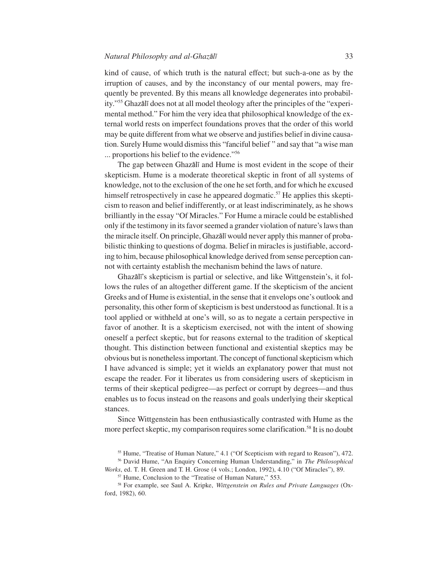kind of cause, of which truth is the natural effect; but such-a-one as by the irruption of causes, and by the inconstancy of our mental powers, may frequently be prevented. By this means all knowledge degenerates into probability."<sup>55</sup> Ghazālī does not at all model theology after the principles of the "experimental method." For him the very idea that philosophical knowledge of the external world rests on imperfect foundations proves that the order of this world may be quite different from what we observe and justifies belief in divine causation. Surely Hume would dismiss this "fanciful belief " and say that "a wise man ... proportions his belief to the evidence."56

The gap between Ghazali and Hume is most evident in the scope of their skepticism. Hume is a moderate theoretical skeptic in front of all systems of knowledge, not to the exclusion of the one he set forth, and for which he excused himself retrospectively in case he appeared dogmatic.<sup>57</sup> He applies this skepticism to reason and belief indifferently, or at least indiscriminately, as he shows brilliantly in the essay "Of Miracles." For Hume a miracle could be established only if the testimony in its favor seemed a grander violation of nature's laws than the miracle itself. On principle, Ghazali would never apply this manner of probabilistic thinking to questions of dogma. Belief in miracles is justifiable, according to him, because philosophical knowledge derived from sense perception cannot with certainty establish the mechanism behind the laws of nature.

Ghazālī's skepticism is partial or selective, and like Wittgenstein's, it follows the rules of an altogether different game. If the skepticism of the ancient Greeks and of Hume is existential, in the sense that it envelops one's outlook and personality, this other form of skepticism is best understood as functional. It is a tool applied or withheld at one's will, so as to negate a certain perspective in favor of another. It is a skepticism exercised, not with the intent of showing oneself a perfect skeptic, but for reasons external to the tradition of skeptical thought. This distinction between functional and existential skeptics may be obvious but is nonetheless important. The concept of functional skepticism which I have advanced is simple; yet it wields an explanatory power that must not escape the reader. For it liberates us from considering users of skepticism in terms of their skeptical pedigree—as perfect or corrupt by degrees—and thus enables us to focus instead on the reasons and goals underlying their skeptical stances.

Since Wittgenstein has been enthusiastically contrasted with Hume as the more perfect skeptic, my comparison requires some clarification.<sup>58</sup> It is no doubt

<sup>55</sup> Hume, "Treatise of Human Nature," 4.1 ("Of Scepticism with regard to Reason"), 472.

<sup>56</sup> David Hume, "An Enquiry Concerning Human Understanding," in *The Philosophical Works*, ed. T. H. Green and T. H. Grose (4 vols.; London, 1992), 4.10 ("Of Miracles"), 89.

<sup>57</sup> Hume, Conclusion to the "Treatise of Human Nature," 553.

<sup>58</sup> For example, see Saul A. Kripke, *Wittgenstein on Rules and Private Languages* (Oxford, 1982), 60.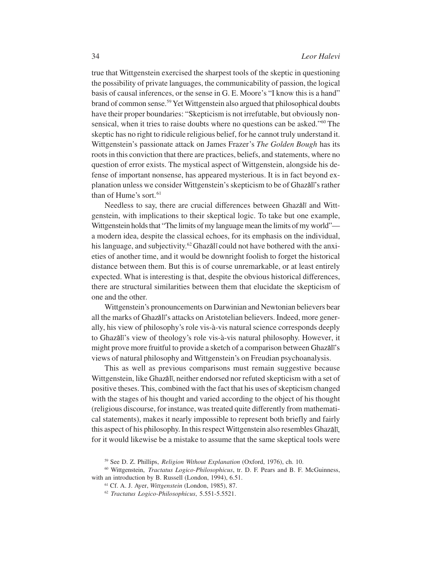true that Wittgenstein exercised the sharpest tools of the skeptic in questioning the possibility of private languages, the communicability of passion, the logical basis of causal inferences, or the sense in G. E. Moore's "I know this is a hand" brand of common sense.<sup>59</sup> Yet Wittgenstein also argued that philosophical doubts have their proper boundaries: "Skepticism is not irrefutable, but obviously nonsensical, when it tries to raise doubts where no questions can be asked."<sup>60</sup> The skeptic has no right to ridicule religious belief, for he cannot truly understand it. Wittgenstein's passionate attack on James Frazer's *The Golden Bough* has its roots in this conviction that there are practices, beliefs, and statements, where no question of error exists. The mystical aspect of Wittgenstein, alongside his defense of important nonsense, has appeared mysterious. It is in fact beyond explanation unless we consider Wittgenstein's skepticism to be of Ghazālī's rather than of Hume's sort.<sup>61</sup>

Needless to say, there are crucial differences between Ghazali and Wittgenstein, with implications to their skeptical logic. To take but one example, Wittgenstein holds that "The limits of my language mean the limits of my world" a modern idea, despite the classical echoes, for its emphasis on the individual, his language, and subjectivity.<sup>62</sup> Ghazali could not have bothered with the anxieties of another time, and it would be downright foolish to forget the historical distance between them. But this is of course unremarkable, or at least entirely expected. What is interesting is that, despite the obvious historical differences, there are structural similarities between them that elucidate the skepticism of one and the other.

Wittgenstein's pronouncements on Darwinian and Newtonian believers bear all the marks of Ghazālī's attacks on Aristotelian believers. Indeed, more generally, his view of philosophy's role vis-à-vis natural science corresponds deeply to Ghazālī's view of theology's role vis-à-vis natural philosophy. However, it might prove more fruitful to provide a sketch of a comparison between Ghazālī's views of natural philosophy and Wittgenstein's on Freudian psychoanalysis.

This as well as previous comparisons must remain suggestive because Wittgenstein, like Ghazālī, neither endorsed nor refuted skepticism with a set of positive theses. This, combined with the fact that his uses of skepticism changed with the stages of his thought and varied according to the object of his thought (religious discourse, for instance, was treated quite differently from mathematical statements), makes it nearly impossible to represent both briefly and fairly this aspect of his philosophy. In this respect Wittgenstein also resembles Ghazali, for it would likewise be a mistake to assume that the same skeptical tools were

<sup>59</sup> See D. Z. Phillips, *Religion Without Explanation* (Oxford, 1976), ch. 10.

<sup>60</sup> Wittgenstein, *Tractatus Logico-Philosophicus*, tr. D. F. Pears and B. F. McGuinness, with an introduction by B. Russell (London, 1994), 6.51.

<sup>61</sup> Cf. A. J. Ayer, *Wittgenstein* (London, 1985), 87.

<sup>62</sup> *Tractatus Logico-Philosophicus*, 5.551-5.5521.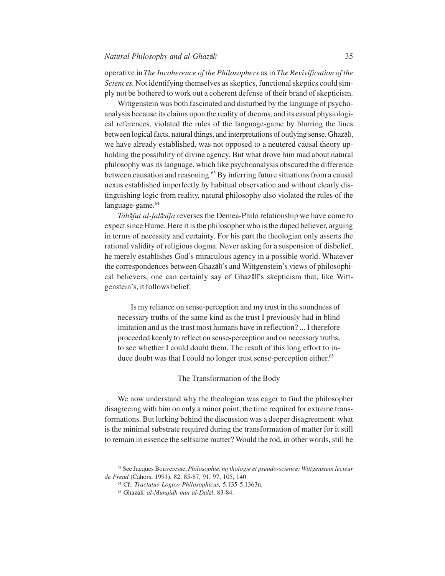## *Natural Philosophy and al-Ghazāl* 35

operative in *The Incoherence of the Philosophers* as in *The Revivification of the Sciences*. Not identifying themselves as skeptics, functional skeptics could simply not be bothered to work out a coherent defense of their brand of skepticism.

Wittgenstein was both fascinated and disturbed by the language of psychoanalysis because its claims upon the reality of dreams, and its casual physiological references, violated the rules of the language-game by blurring the lines between logical facts, natural things, and interpretations of outlying sense. Ghazālī, we have already established, was not opposed to a neutered causal theory upholding the possibility of divine agency. But what drove him mad about natural philosophy was its language, which like psychoanalysis obscured the difference between causation and reasoning.<sup>63</sup> By inferring future situations from a causal nexus established imperfectly by habitual observation and without clearly distinguishing logic from reality, natural philosophy also violated the rules of the language-game.<sup>64</sup>

*Tahfut al-falsifa* reverses the Demea-Philo relationship we have come to expect since Hume. Here it is the philosopher who is the duped believer, arguing in terms of necessity and certainty. For his part the theologian only asserts the rational validity of religious dogma. Never asking for a suspension of disbelief, he merely establishes God's miraculous agency in a possible world. Whatever the correspondences between Ghazali's and Wittgenstein's views of philosophical believers, one can certainly say of Ghazālī's skepticism that, like Wittgenstein's, it follows belief.

Is my reliance on sense-perception and my trust in the soundness of necessary truths of the same kind as the trust I previously had in blind imitation and as the trust most humans have in reflection? ... I therefore proceeded keenly to reflect on sense-perception and on necessary truths, to see whether I could doubt them. The result of this long effort to induce doubt was that I could no longer trust sense-perception either.<sup>65</sup>

#### The Transformation of the Body

We now understand why the theologian was eager to find the philosopher disagreeing with him on only a minor point, the time required for extreme transformations. But lurking behind the discussion was a deeper disagreement: what is the minimal substrate required during the transformation of matter for it still to remain in essence the selfsame matter? Would the rod, in other words, still be

<sup>63</sup> See Jacques Bouveresse, *Philosophie, mythologie et pseudo-science: Wittgenstein lecteur de Freud* (Cahors, 1991), 82, 85-87, 91, 97, 105, 140.

<sup>64</sup> Cf. *Tractatus Logico-Philosophicus*, 5.135-5.1363n.

<sup>&</sup>lt;sup>65</sup> Ghazālī, al-Munqidh min al-*Dalāl*, 83-84.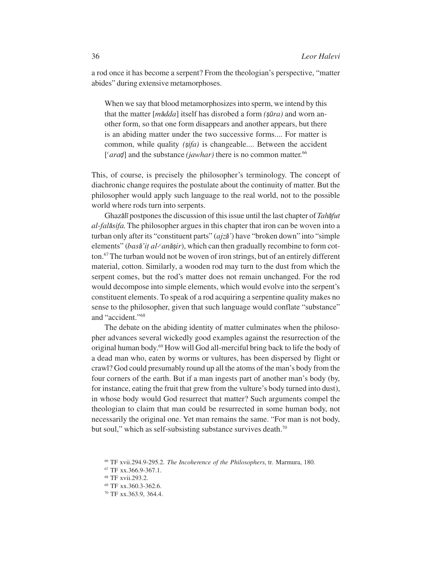a rod once it has become a serpent? From the theologian's perspective, "matter abides" during extensive metamorphoses.

When we say that blood metamorphosizes into sperm, we intend by this that the matter [madda] itself has disrobed a form (sūra) and worn another form, so that one form disappears and another appears, but there is an abiding matter under the two successive forms.... For matter is common, while quality *(sifa)* is changeable.... Between the accident [<sup>*c*</sup> arad] and the substance (*jawhar*) there is no common matter.<sup>66</sup>

This, of course, is precisely the philosopher's terminology. The concept of diachronic change requires the postulate about the continuity of matter. But the philosopher would apply such language to the real world, not to the possible world where rods turn into serpents.

Ghazālī postpones the discussion of this issue until the last chapter of *Tahāfut al-falsifa*. The philosopher argues in this chapter that iron can be woven into a turban only after its "constituent parts" (*ajz'*) have "broken down" into "simple elements" (basa'it al-canasir), which can then gradually recombine to form cotton.67 The turban would not be woven of iron strings, but of an entirely different material, cotton. Similarly, a wooden rod may turn to the dust from which the serpent comes, but the rod's matter does not remain unchanged. For the rod would decompose into simple elements, which would evolve into the serpent's constituent elements. To speak of a rod acquiring a serpentine quality makes no sense to the philosopher, given that such language would conflate "substance" and "accident."68

The debate on the abiding identity of matter culminates when the philosopher advances several wickedly good examples against the resurrection of the original human body.69 How will God all-merciful bring back to life the body of a dead man who, eaten by worms or vultures, has been dispersed by flight or crawl? God could presumably round up all the atoms of the man's body from the four corners of the earth. But if a man ingests part of another man's body (by, for instance, eating the fruit that grew from the vulture's body turned into dust), in whose body would God resurrect that matter? Such arguments compel the theologian to claim that man could be resurrected in some human body, not necessarily the original one. Yet man remains the same. "For man is not body, but soul," which as self-subsisting substance survives death.<sup>70</sup>

<sup>66</sup> TF xvii.294.9-295.2. *The Incoherence of the Philosophers*, tr. Marmura, 180.

<sup>67</sup> TF xx.366.9-367.1.

<sup>68</sup> TF xvii.293.2.

<sup>69</sup> TF xx.360.3-362.6.

<sup>70</sup> TF xx.363.9, 364.4.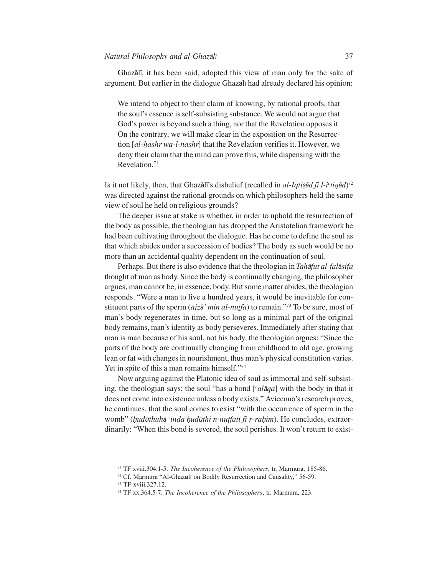Ghazālī, it has been said, adopted this view of man only for the sake of argument. But earlier in the dialogue Ghazali had already declared his opinion:

We intend to object to their claim of knowing, by rational proofs, that the soul's essence is self-subsisting substance. We would not argue that God's power is beyond such a thing, nor that the Revelation opposes it. On the contrary, we will make clear in the exposition on the Resurrection [*al-ashr wa-l-nashr*] that the Revelation verifies it. However, we deny their claim that the mind can prove this, while dispensing with the Revelation.71

Is it not likely, then, that Ghazālī's disbelief (recalled in *al-Iqti*sād fi l-i<sup>c</sup>tiqād)<sup>72</sup> was directed against the rational grounds on which philosophers held the same view of soul he held on religious grounds?

The deeper issue at stake is whether, in order to uphold the resurrection of the body as possible, the theologian has dropped the Aristotelian framework he had been cultivating throughout the dialogue. Has he come to define the soul as that which abides under a succession of bodies? The body as such would be no more than an accidental quality dependent on the continuation of soul.

Perhaps. But there is also evidence that the theologian in *Tahfut al-falsifa* thought of man as body. Since the body is continually changing, the philosopher argues, man cannot be, in essence, body. But some matter abides, the theologian responds. "Were a man to live a hundred years, it would be inevitable for constituent parts of the sperm (*ajz' min al-nufa*) to remain."73 To be sure, most of man's body regenerates in time, but so long as a minimal part of the original body remains, man's identity as body perseveres. Immediately after stating that man is man because of his soul, not his body, the theologian argues: "Since the parts of the body are continually changing from childhood to old age, growing lean or fat with changes in nourishment, thus man's physical constitution varies. Yet in spite of this a man remains himself."74

Now arguing against the Platonic idea of soul as immortal and self-subsisting, the theologian says: the soul "has a bond [cal*aqa*] with the body in that it does not come into existence unless a body exists." Avicenna's research proves, he continues, that the soul comes to exist "with the occurrence of sperm in the womb" (hudūthuhā 'inda hudūthi n-nutfati fi r-rahim). He concludes, extraordinarily: "When this bond is severed, the soul perishes. It won't return to exist-

<sup>71</sup> TF xviii.304.1-5. *The Incoherence of the Philosophers*, tr. Marmura, 185-86.

<sup>&</sup>lt;sup>72</sup> Cf. Marmura "Al-Ghazālī on Bodily Resurrection and Causality," 56-59.

<sup>73</sup> TF xviii.327.12.

<sup>74</sup> TF xx.364.5-7. *The Incoherence of the Philosophers*, tr. Marmura, 223.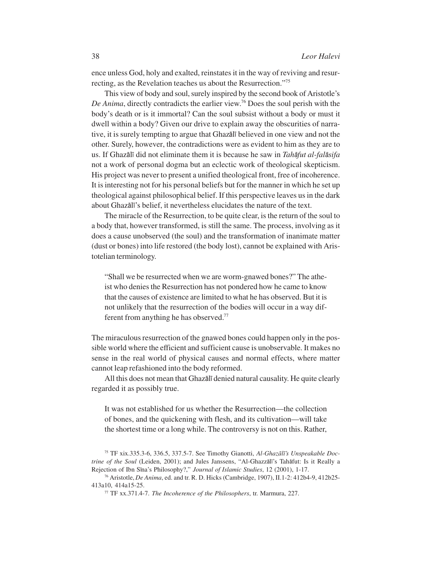ence unless God, holy and exalted, reinstates it in the way of reviving and resurrecting, as the Revelation teaches us about the Resurrection."75

This view of body and soul, surely inspired by the second book of Aristotle's *De Anima*, directly contradicts the earlier view.76 Does the soul perish with the body's death or is it immortal? Can the soul subsist without a body or must it dwell within a body? Given our drive to explain away the obscurities of narrative, it is surely tempting to argue that Ghazali believed in one view and not the other. Surely, however, the contradictions were as evident to him as they are to us. If Ghazālī did not eliminate them it is because he saw in *Tahāfut al-falāsifa* not a work of personal dogma but an eclectic work of theological skepticism. His project was never to present a unified theological front, free of incoherence. It is interesting not for his personal beliefs but for the manner in which he set up theological against philosophical belief. If this perspective leaves us in the dark about Ghazālī's belief, it nevertheless elucidates the nature of the text.

The miracle of the Resurrection, to be quite clear, is the return of the soul to a body that, however transformed, is still the same. The process, involving as it does a cause unobserved (the soul) and the transformation of inanimate matter (dust or bones) into life restored (the body lost), cannot be explained with Aristotelian terminology.

"Shall we be resurrected when we are worm-gnawed bones?" The atheist who denies the Resurrection has not pondered how he came to know that the causes of existence are limited to what he has observed. But it is not unlikely that the resurrection of the bodies will occur in a way different from anything he has observed.<sup>77</sup>

The miraculous resurrection of the gnawed bones could happen only in the possible world where the efficient and sufficient cause is unobservable. It makes no sense in the real world of physical causes and normal effects, where matter cannot leap refashioned into the body reformed.

All this does not mean that Ghazali denied natural causality. He quite clearly regarded it as possibly true.

It was not established for us whether the Resurrection—the collection of bones, and the quickening with flesh, and its cultivation—will take the shortest time or a long while. The controversy is not on this. Rather,

<sup>75</sup> TF xix.335.3-6, 336.5, 337.5-7. See Timothy Gianotti, Al-Ghazālī's Unspeakable Doctrine of the Soul (Leiden, 2001); and Jules Janssens, "Al-Ghazzālī's Tahāfut: Is it Really a Rejection of Ibn Sīna's Philosophy?," Journal of Islamic Studies, 12 (2001), 1-17.

76 Aristotle, *De Anima*, ed. and tr. R. D. Hicks (Cambridge, 1907), II.1-2: 412b4-9, 412b25- 413a10, 414a15-25.

77 TF xx.371.4-7. *The Incoherence of the Philosophers*, tr. Marmura, 227.